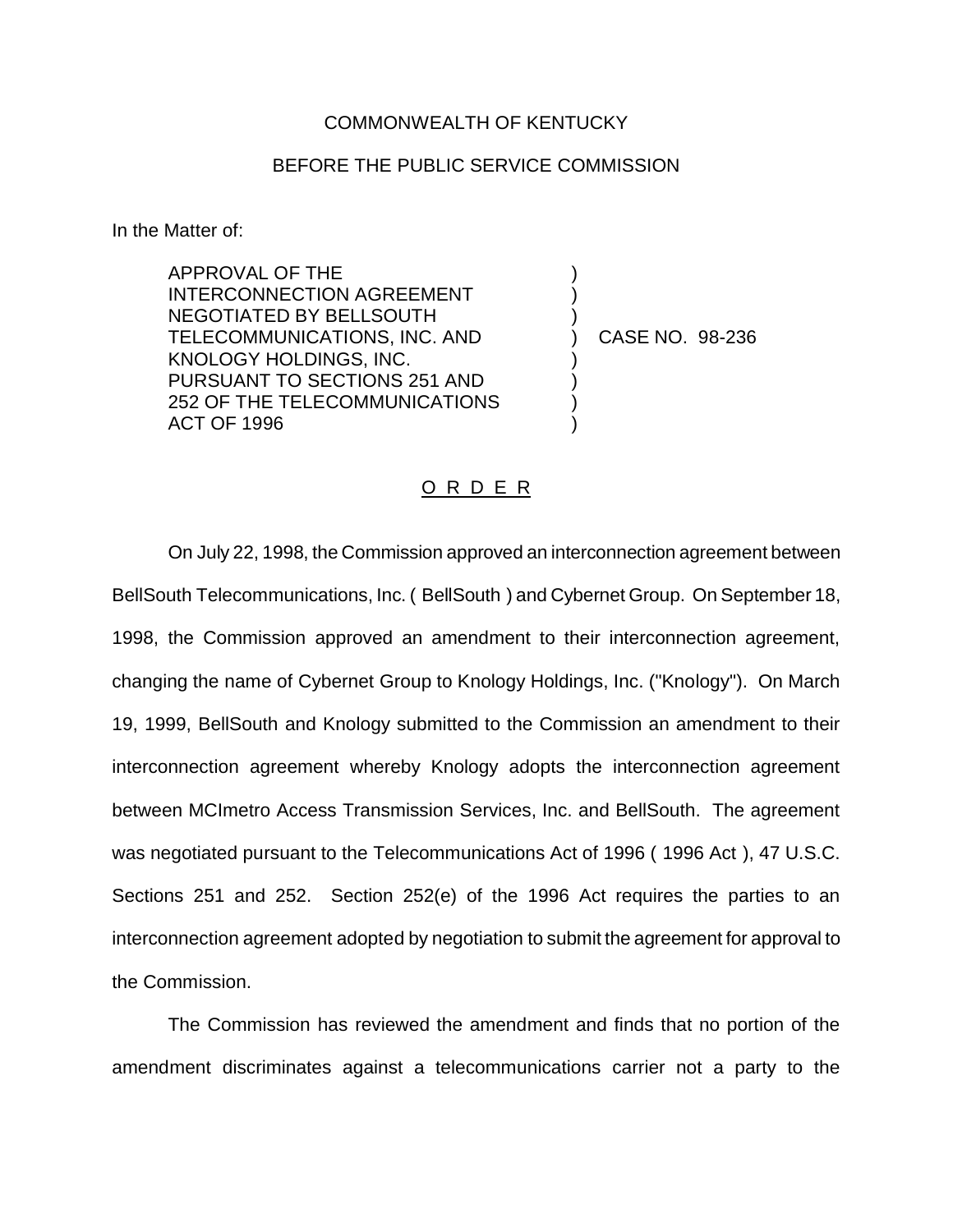## COMMONWEALTH OF KENTUCKY

## BEFORE THE PUBLIC SERVICE COMMISSION

In the Matter of:

APPROVAL OF THE INTERCONNECTION AGREEMENT NEGOTIATED BY BELLSOUTH TELECOMMUNICATIONS, INC. AND KNOLOGY HOLDINGS, INC. PURSUANT TO SECTIONS 251 AND 252 OF THE TELECOMMUNICATIONS ACT OF 1996

) CASE NO. 98-236

) ) )

) ) ) )

## O R D E R

On July 22, 1998, the Commission approved an interconnection agreement between BellSouth Telecommunications, Inc. ( BellSouth ) and Cybernet Group. On September 18, 1998, the Commission approved an amendment to their interconnection agreement, changing the name of Cybernet Group to Knology Holdings, Inc. ("Knology"). On March 19, 1999, BellSouth and Knology submitted to the Commission an amendment to their interconnection agreement whereby Knology adopts the interconnection agreement between MCImetro Access Transmission Services, Inc. and BellSouth. The agreement was negotiated pursuant to the Telecommunications Act of 1996 ( 1996 Act ), 47 U.S.C. Sections 251 and 252. Section 252(e) of the 1996 Act requires the parties to an interconnection agreement adopted by negotiation to submit the agreement for approval to the Commission.

The Commission has reviewed the amendment and finds that no portion of the amendment discriminates against a telecommunications carrier not a party to the